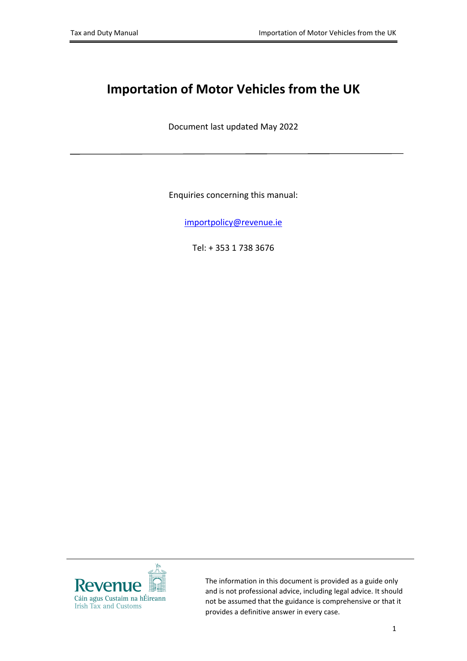# **Importation of Motor Vehicles from the UK**

Document last updated May 2022

Enquiries concerning this manual:

[importpolicy@revenue.ie](mailto:importpolicy@revenue.ie)

Tel: + 353 1 738 3676



The information in this document is provided as a guide only and is not professional advice, including legal advice. It should not be assumed that the guidance is comprehensive or that it provides a definitive answer in every case.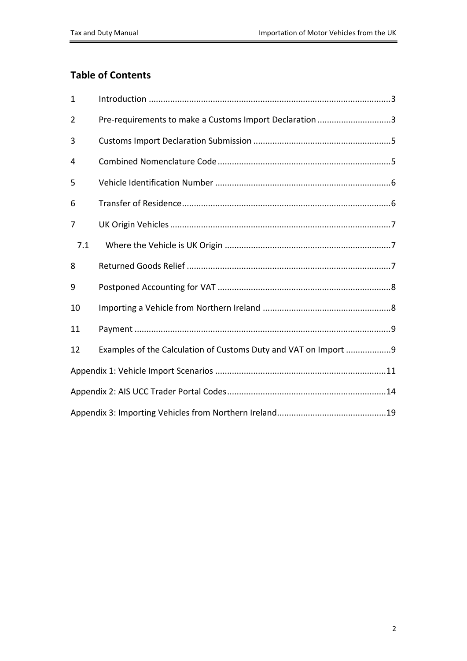### **Table of Contents**

| $\mathbf{1}$ |                                                                 |
|--------------|-----------------------------------------------------------------|
| 2            | Pre-requirements to make a Customs Import Declaration 3         |
| 3            |                                                                 |
| 4            |                                                                 |
| 5            |                                                                 |
| 6            |                                                                 |
| 7            |                                                                 |
| 7.1          |                                                                 |
| 8            |                                                                 |
| 9            |                                                                 |
| 10           |                                                                 |
| 11           |                                                                 |
| 12           | Examples of the Calculation of Customs Duty and VAT on Import 9 |
|              |                                                                 |
|              |                                                                 |
|              |                                                                 |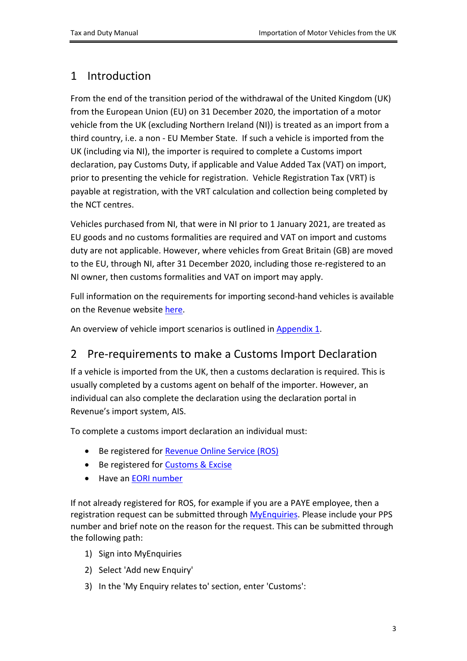## <span id="page-2-0"></span>1 Introduction

From the end of the transition period of the withdrawal of the United Kingdom (UK) from the European Union (EU) on 31 December 2020, the importation of a motor vehicle from the UK (excluding Northern Ireland (NI)) is treated as an import from a third country, i.e. a non - EU Member State. If such a vehicle is imported from the UK (including via NI), the importer is required to complete a Customs import declaration, pay Customs Duty, if applicable and Value Added Tax (VAT) on import, prior to presenting the vehicle for registration. Vehicle Registration Tax (VRT) is payable at registration, with the VRT calculation and collection being completed by the NCT centres.

Vehicles purchased from NI, that were in NI prior to 1 January 2021, are treated as EU goods and no customs formalities are required and VAT on import and customs duty are not applicable. However, where vehicles from Great Britain (GB) are moved to the EU, through NI, after 31 December 2020, including those re-registered to an NI owner, then customs formalities and VAT on import may apply.

Full information on the requirements for importing second-hand vehicles is available on the Revenue website [here.](https://www.revenue.ie/en/importing-vehicles-duty-free-allowances/guide-to-vrt/registration-of-imported-used-vehicles/index.aspx)

An overview of vehicle import scenarios is outlined in [Appendix](#page-10-0) [1.](#page-10-0)

## <span id="page-2-1"></span>2 Pre-requirements to make a Customs Import Declaration

If a vehicle is imported from the UK, then a customs declaration is required. This is usually completed by a customs agent on behalf of the importer. However, an individual can also complete the declaration using the declaration portal in Revenue's import system, AIS.

To complete a customs import declaration an individual must:

- Be registered for [Revenue](https://www.ros.ie/ros-registration-web/ros-registration;rjsessionid=F594EFA2C109312680608409194C820B?execution=e1s1) [Online](https://www.ros.ie/ros-registration-web/ros-registration;rjsessionid=F594EFA2C109312680608409194C820B?execution=e1s1) [Service](https://www.ros.ie/ros-registration-web/ros-registration;rjsessionid=F594EFA2C109312680608409194C820B?execution=e1s1) [\(ROS\)](https://www.ros.ie/ros-registration-web/ros-registration;rjsessionid=F594EFA2C109312680608409194C820B?execution=e1s1)
- Be registered for **[Customs](https://www.revenue.ie/en/online-services/services/manage-your-record/manage-your-tax-registrations.aspx) [&](https://www.revenue.ie/en/online-services/services/manage-your-record/manage-your-tax-registrations.aspx) [Excise](https://www.revenue.ie/en/online-services/services/manage-your-record/manage-your-tax-registrations.aspx)**
- Have an [EORI](https://www.revenue.ie/en/customs-traders-and-agents/customs-electronic-systems/eori-system.aspx) [number](https://www.revenue.ie/en/customs-traders-and-agents/customs-electronic-systems/eori-system.aspx)

If not already registered for ROS, for example if you are a PAYE employee, then a registration request can be submitted through [MyEnquiries.](https://www.revenue.ie/en/online-services/services/manage-your-record/myenquiries.aspx) Please include your PPS number and brief note on the reason for the request. This can be submitted through the following path:

- 1) Sign into MyEnquiries
- 2) Select 'Add new Enquiry'
- 3) In the 'My Enquiry relates to' section, enter 'Customs':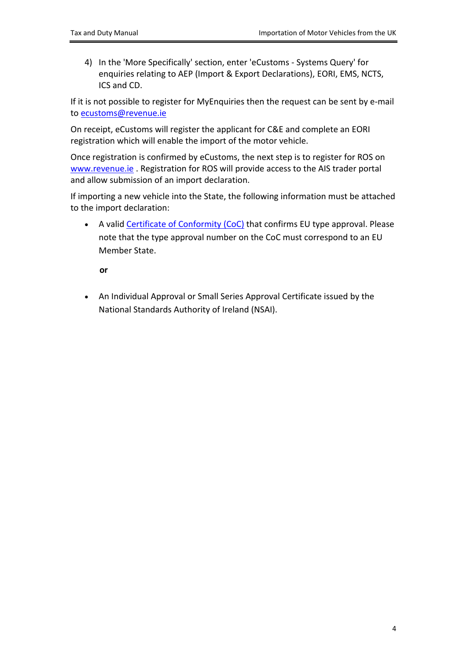4) In the 'More Specifically' section, enter 'eCustoms - Systems Query' for enquiries relating to AEP (Import & Export Declarations), EORI, EMS, NCTS, ICS and CD.

If it is not possible to register for MyEnquiries then the request can be sent by e-mail to [ecustoms@revenue.ie](mailto:ecustoms@revenue.ie)

On receipt, eCustoms will register the applicant for C&E and complete an EORI registration which will enable the import of the motor vehicle.

Once registration is confirmed by eCustoms, the next step is to register for ROS on [www.revenue.ie](http://www.revenue.ie) . Registration for ROS will provide access to the AIS trader portal and allow submission of an import declaration.

If importing a new vehicle into the State, the following information must be attached to the import declaration:

• A valid [Certificate](https://www.revenue.ie/en/online-services/services/vehicle-services/electronic-certificate-conformity.aspx) [of](https://www.revenue.ie/en/online-services/services/vehicle-services/electronic-certificate-conformity.aspx) [Conformity](https://www.revenue.ie/en/online-services/services/vehicle-services/electronic-certificate-conformity.aspx) [\(CoC\)](https://www.revenue.ie/en/online-services/services/vehicle-services/electronic-certificate-conformity.aspx) that confirms EU type approval. Please note that the [type](https://www.revenue.ie/en/importing-vehicles-duty-free-allowances/guide-to-vrt/conversions/common-phrases.aspx) [approval](https://www.revenue.ie/en/importing-vehicles-duty-free-allowances/guide-to-vrt/conversions/common-phrases.aspx) number on the CoC must correspond to an EU Member State.

**or**

 An Individual Approval or Small Series Approval Certificate issued by the [National](https://www.nsai.ie/certification/automotive/national-type-approva/iva/) [Standards](https://www.nsai.ie/certification/automotive/national-type-approva/iva/) [Authority](https://www.nsai.ie/certification/automotive/national-type-approva/iva/) [of](https://www.nsai.ie/certification/automotive/national-type-approva/iva/) [Ireland](https://www.nsai.ie/certification/automotive/national-type-approva/iva/) [\(NSAI\).](https://www.nsai.ie/certification/automotive/national-type-approva/iva/)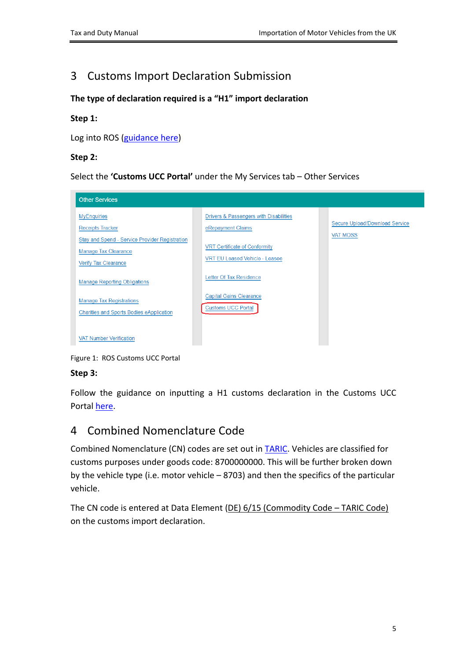## <span id="page-4-0"></span>3 Customs Import Declaration Submission

### **The type of declaration required is a "H1" import declaration**

### **Step 1:**

Log into ROS [\(guidance](https://www.revenue.ie/en/online-services/support/ros-help/index.aspx?lang=en) [here](https://www.revenue.ie/en/online-services/support/ros-help/index.aspx?lang=en))

### **Step 2:**

Select the **'Customs UCC Portal'** under the My Services tab – Other Services



Figure 1: ROS Customs UCC Portal

### **Step 3:**

Follow the guidance on inputting a H1 customs declaration in the Customs UCC Portal [here.](https://www.revenue.ie/en/online-services/support/software-developers/documents/ais/ais-trader-portal-guide.pdf)

## <span id="page-4-1"></span>4 Combined Nomenclature Code

Combined Nomenclature (CN) codes are set out in [TARIC](https://ec.europa.eu/taxation_customs/dds2/taric/taric_consultation.jsp?Lang=en). Vehicles are classified for customs purposes under goods code: 8700000000. This will be further broken down by the vehicle type (i.e. motor vehicle – 8703) and then the specifics of the particular vehicle.

The CN code is entered at Data Element (DE) 6/15 (Commodity Code – TARIC Code) on the customs import declaration.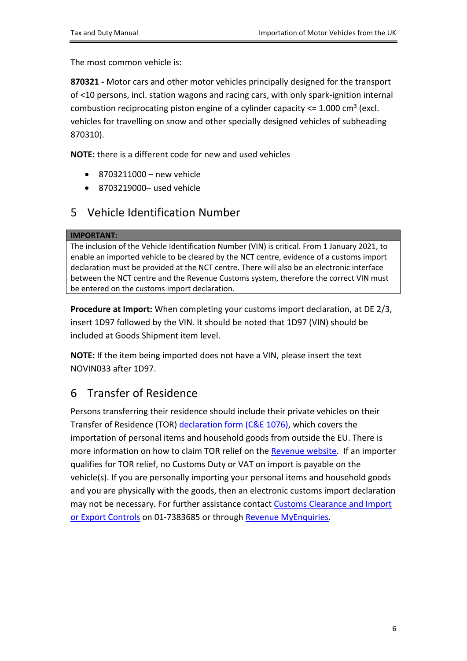The most common vehicle is:

**[870321](https://www.tariffnumber.com/2020/870321) [-](https://www.tariffnumber.com/2020/870321)** [M](https://www.tariffnumber.com/2020/870321)otor cars and other motor vehicles principally designed for the transport of <10 persons, incl. station wagons and racing cars, with only spark-ignition internal combustion reciprocating piston engine of a cylinder capacity  $\leq 1.000 \text{ cm}^3$  (excl. vehicles for travelling on snow and other specially designed vehicles of subheading 870310).

**NOTE:** there is a different code for new and used vehicles

- $\bullet$  8703211000 new vehicle
- 8703219000– used vehicle

## <span id="page-5-0"></span>5 Vehicle Identification Number

#### **IMPORTANT:**

The inclusion of the Vehicle Identification Number (VIN) is critical. From 1 January 2021, to enable an imported vehicle to be cleared by the NCT centre, evidence of a customs import declaration must be provided at the NCT centre. There will also be an electronic interface between the NCT centre and the Revenue Customs system, therefore the correct VIN must be entered on the customs import declaration.

**Procedure at Import:** When completing your customs import declaration, at DE 2/3, insert 1D97 followed by the VIN. It should be noted that 1D97 (VIN) should be included at Goods Shipment item level.

**NOTE:** If the item being imported does not have a VIN, please insert the text NOVIN033 after 1D97.

## <span id="page-5-1"></span>6 Transfer of Residence

Persons transferring their residence should include their private vehicles on their Transfer of Residence (TOR) [declaration](https://www.revenue.ie/en/importing-vehicles-duty-free-allowances/documents/customs/c-and-e-1076.pdf) [form](https://www.revenue.ie/en/importing-vehicles-duty-free-allowances/documents/customs/c-and-e-1076.pdf) [\(C&E](https://www.revenue.ie/en/importing-vehicles-duty-free-allowances/documents/customs/c-and-e-1076.pdf) [1076\),](https://www.revenue.ie/en/importing-vehicles-duty-free-allowances/documents/customs/c-and-e-1076.pdf) which covers the importation of personal items and household goods from outside the EU. There is more information on how to claim TOR relief on the [Revenue](https://www.revenue.ie/en/importing-vehicles-duty-free-allowances/transfer-of-residence/index.aspx) [website](https://www.revenue.ie/en/importing-vehicles-duty-free-allowances/transfer-of-residence/index.aspx). If an importer qualifies for TOR relief, no Customs Duty or VAT on import is payable on the vehicle(s). If you are personally importing your personal items and household goods and you are physically with the goods, then an electronic customs import declaration may not be necessary. For further assistance contact [Customs](https://www.revenue.ie/en/contact-us/customs-ports-and-airports/customs-clearance-and-import-or-export-controls.aspx) [Clearance](https://www.revenue.ie/en/contact-us/customs-ports-and-airports/customs-clearance-and-import-or-export-controls.aspx) [and](https://www.revenue.ie/en/contact-us/customs-ports-and-airports/customs-clearance-and-import-or-export-controls.aspx) [Import](https://www.revenue.ie/en/contact-us/customs-ports-and-airports/customs-clearance-and-import-or-export-controls.aspx) [or](https://www.revenue.ie/en/contact-us/customs-ports-and-airports/customs-clearance-and-import-or-export-controls.aspx) [Export](https://www.revenue.ie/en/contact-us/customs-ports-and-airports/customs-clearance-and-import-or-export-controls.aspx) [Controls](https://www.revenue.ie/en/contact-us/customs-ports-and-airports/customs-clearance-and-import-or-export-controls.aspx) on 01-7383685 or through [Revenue](https://www.revenue.ie/en/online-services/index.aspx) [MyEnquiries.](https://www.revenue.ie/en/online-services/index.aspx)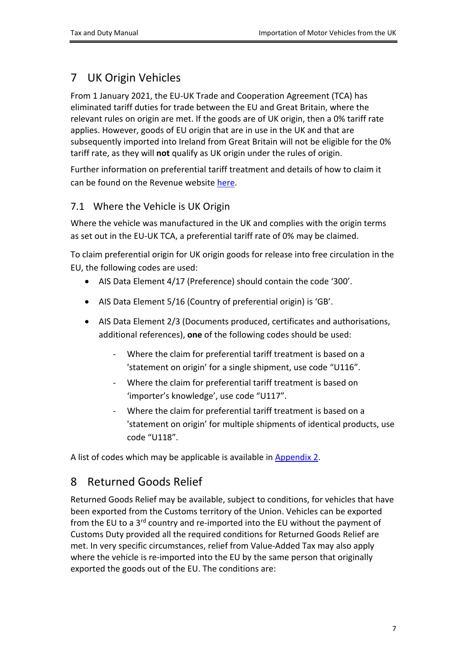## <span id="page-6-0"></span>7 UK Origin Vehicles

From 1 January 2021, the EU-UK Trade and Cooperation Agreement (TCA) has eliminated tariff duties for trade between the EU and Great Britain, where the relevant rules on origin are met. If the goods are of UK origin, then a 0% tariff rate applies. However, goods of EU origin that are in use in the UK and that are subsequently imported into Ireland from Great Britain will not be eligible for the 0% tariff rate, as they will **not** qualify as UK origin under the rules of origin.

Further information on preferential tariff treatment and details of how to claim it can be found on the Revenue website [here.](https://www.revenue.ie/en/customs-traders-and-agents/customs-electronic-systems/aep/ecustoms-notifications/2021/ecustoms-notification-16-2021.pdf)

### <span id="page-6-1"></span>7.1 Where the Vehicle is UK Origin

Where the vehicle was manufactured in the UK and complies with the origin terms as set out in the EU-UK TCA, a preferential tariff rate of 0% may be claimed.

To claim preferential origin for UK origin goods for release into free circulation in the EU, the following codes are used:

- AIS Data Element 4/17 (Preference) should contain the code '300'.
- AIS Data Element 5/16 (Country of preferential origin) is 'GB'.
- AIS Data Element 2/3 (Documents produced, certificates and authorisations, additional references), **one** of the following codes should be used:
	- Where the claim for preferential tariff treatment is based on a 'statement on origin' for a single shipment, use code "U116".
	- Where the claim for preferential tariff treatment is based on 'importer's knowledge', use code "U117".
	- Where the claim for preferential tariff treatment is based on a 'statement on origin' for multiple shipments of identical products, use code "U118".

A list of codes which may be applicable is available in [Appendix](#page-13-0) [2.](#page-13-0)

## <span id="page-6-2"></span>8 Returned Goods Relief

Returned Goods Relief may be available, subject to conditions, for vehicles that have been exported from the Customs territory of the Union. Vehicles can be exported from the EU to a 3<sup>rd</sup> country and re-imported into the EU without the payment of Customs Duty provided all the required conditions for Returned Goods Relief are met. In very specific circumstances, relief from Value-Added Tax may also apply where the vehicle is re-imported into the EU by the same person that originally exported the goods out of the EU. The conditions are: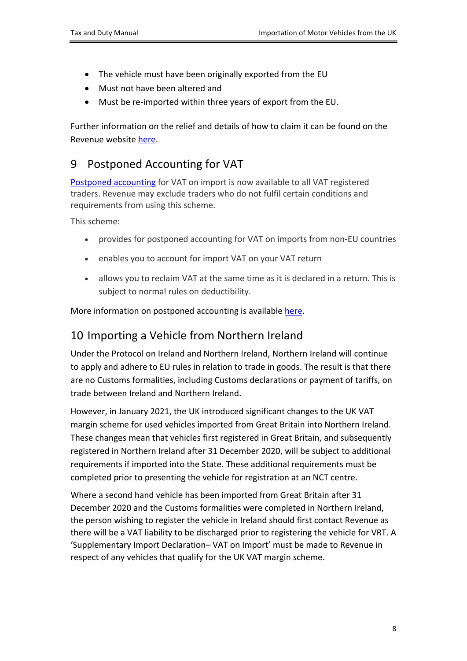- The vehicle must have been originally exported from the EU
- Must not have been altered and
- Must be re-imported within three years of export from the EU.

Further information on the relief and details of how to claim it can be found on the Revenue website [here.](https://www.revenue.ie/en/customs-traders-and-agents/customs-electronic-systems/aep/ecustoms-notifications/2021/ecustoms-notification-24-2021.pdf)

## <span id="page-7-0"></span>9 Postponed Accounting for VAT

[Postponed](https://www.revenue.ie/en/vat/goods-and-services-to-and-from-abroad/imports/postponed-accounting.aspx) [accounting](https://www.revenue.ie/en/vat/goods-and-services-to-and-from-abroad/imports/postponed-accounting.aspx) for VAT on import is now available to all VAT registered traders. Revenue may exclude traders who do not fulfil certain conditions and requirements from using this scheme.

This scheme:

- provides for postponed accounting for VAT on imports from non-EU countries
- enables you to account for import VAT on your VAT return
- allows you to reclaim VAT at the same time as it is declared in a return. This is subject to normal rules on deductibility.

More information on postponed accounting is available [here.](https://www.revenue.ie/en/customs-traders-and-agents/brexit/information-for-businesses/vat-trade-with-gb-after-transition/postponed-accounting.aspx)

## <span id="page-7-1"></span>10 Importing a Vehicle from Northern Ireland

Under the Protocol on Ireland and Northern Ireland, Northern Ireland will continue to apply and adhere to EU rules in relation to trade in goods. The result is that there are no Customs formalities, including Customs declarations or payment of tariffs, on trade between Ireland and Northern Ireland.

However, in January 2021, the UK introduced significant changes to the UK VAT margin scheme for used vehicles imported from Great Britain into Northern Ireland. These changes mean that vehicles first registered in Great Britain, and subsequently registered in Northern Ireland after 31 December 2020, will be subject to additional requirements if imported into the State. These additional requirements must be completed prior to presenting the vehicle for registration at an NCT centre.

Where a second hand vehicle has been imported from Great Britain after 31 December 2020 and the Customs formalities were completed in Northern Ireland, the person wishing to register the vehicle in Ireland should first contact Revenue as there will be a VAT liability to be discharged prior to registering the vehicle for VRT. A 'Supplementary Import Declaration– VAT on Import' must be made to Revenue in respect of any vehicles that qualify for the UK VAT margin scheme.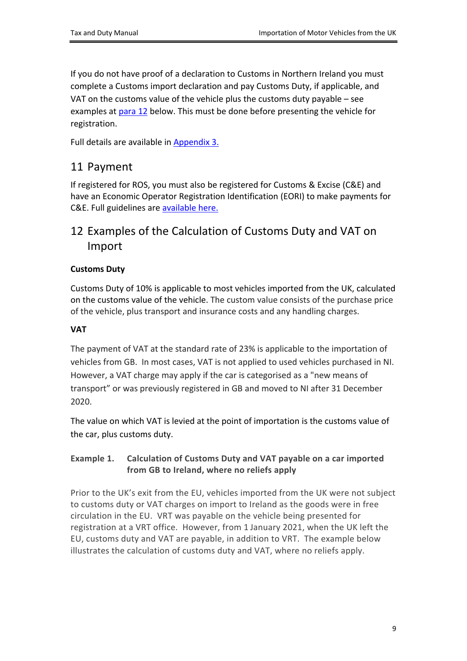If you do not have proof of a declaration to Customs in Northern Ireland you must complete a Customs import declaration and pay Customs Duty, if applicable, and VAT on the customs value of the vehicle plus the customs duty payable – see examples at [para](#page-8-1) [12](#page-8-1) below. This must be done before presenting the vehicle for registration.

Full details are available in [Appendix](#page-18-0) [3.](#page-18-0)

### <span id="page-8-0"></span>11 Payment

If registered for ROS, you must also be registered for Customs & Excise (C&E) and have an Economic Operator Registration Identification (EORI) to make payments for C&E. Full guidelines are [available](https://www.revenue.ie/en/tax-professionals/tdm/customs/aep/ce-online-payments-in-ros-and-myaccount.pdf) [here.](https://www.revenue.ie/en/tax-professionals/tdm/customs/aep/ce-online-payments-in-ros-and-myaccount.pdf)

## <span id="page-8-1"></span>12 Examples of the Calculation of Customs Duty and VAT on Import

### **Customs Duty**

Customs Duty of 10% is applicable to most vehicles imported from the UK, calculated on the customs value of the vehicle. The custom value consists of the purchase price of the vehicle, plus transport and insurance costs and any handling charges.

### **VAT**

The payment of VAT at the standard rate of 23% is applicable to the importation of vehicles from GB. In most cases, VAT is not applied to used vehicles purchased in NI. However, a VAT charge may apply if the car is categorised as a "new means of transport" or was previously registered in GB and moved to NI after 31 December 2020.

The value on which VAT is levied at the point of importation is the customs value of the car, plus customs duty.

### **Example 1. Calculation of Customs Duty and VAT payable on a car imported from GB to Ireland, where no reliefs apply**

Prior to the UK's exit from the EU, vehicles imported from the UK were not subject to customs duty or VAT charges on import to Ireland as the goods were in free circulation in the EU. VRT was payable on the vehicle being presented for registration at a VRT office. However, from 1 January 2021, when the UK left the EU, customs duty and VAT are payable, in addition to VRT. The example below illustrates the calculation of customs duty and VAT, where no reliefs apply.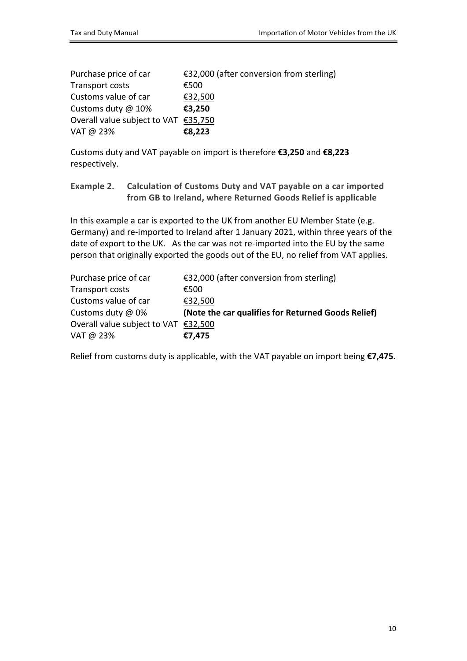| Purchase price of car                | €32,000 (after conversion from sterling) |
|--------------------------------------|------------------------------------------|
| Transport costs                      | €500                                     |
| Customs value of car                 | €32,500                                  |
| Customs duty @ 10%                   | €3,250                                   |
| Overall value subject to VAT €35,750 |                                          |
| VAT @ 23%                            | €8,223                                   |

Customs duty and VAT payable on import is therefore **€3,250** and **€8,223** respectively.

**Example 2. Calculation of Customs Duty and VAT payable on a car imported from GB to Ireland, where Returned Goods Relief is applicable**

In this example a car is exported to the UK from another EU Member State (e.g. Germany) and re-imported to Ireland after 1 January 2021, within three years of the date of export to the UK. As the car was not re-imported into the EU by the same person that originally exported the goods out of the EU, no relief from VAT applies.

| Purchase price of car                | €32,000 (after conversion from sterling)           |
|--------------------------------------|----------------------------------------------------|
| Transport costs                      | €500                                               |
| Customs value of car                 | €32,500                                            |
| Customs duty @ 0%                    | (Note the car qualifies for Returned Goods Relief) |
| Overall value subject to VAT €32,500 |                                                    |
| VAT @ 23%                            | €7,475                                             |

Relief from customs duty is applicable, with the VAT payable on import being **€7,475.**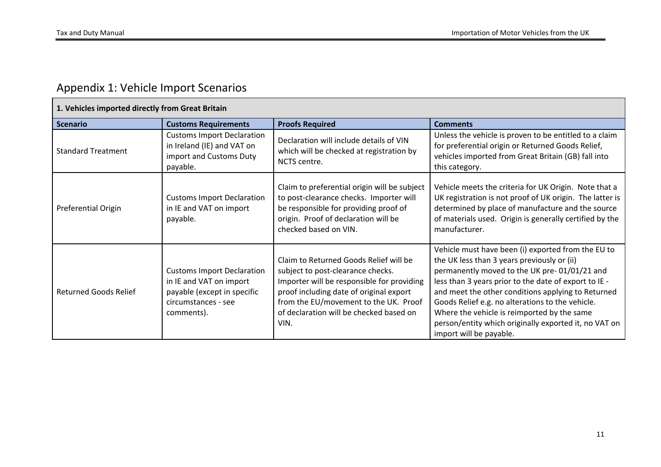## Appendix 1: Vehicle Import Scenarios

<span id="page-10-0"></span>

| 1. Vehicles imported directly from Great Britain |                                                                                                                                  |                                                                                                                                                                                                                                                                  |                                                                                                                                                                                                                                                                                                                                                                                                                                                         |
|--------------------------------------------------|----------------------------------------------------------------------------------------------------------------------------------|------------------------------------------------------------------------------------------------------------------------------------------------------------------------------------------------------------------------------------------------------------------|---------------------------------------------------------------------------------------------------------------------------------------------------------------------------------------------------------------------------------------------------------------------------------------------------------------------------------------------------------------------------------------------------------------------------------------------------------|
| <b>Scenario</b>                                  | <b>Customs Requirements</b>                                                                                                      | <b>Proofs Required</b>                                                                                                                                                                                                                                           | <b>Comments</b>                                                                                                                                                                                                                                                                                                                                                                                                                                         |
| <b>Standard Treatment</b>                        | <b>Customs Import Declaration</b><br>in Ireland (IE) and VAT on<br>import and Customs Duty<br>payable.                           | Declaration will include details of VIN<br>which will be checked at registration by<br>NCTS centre.                                                                                                                                                              | Unless the vehicle is proven to be entitled to a claim<br>for preferential origin or Returned Goods Relief,<br>vehicles imported from Great Britain (GB) fall into<br>this category.                                                                                                                                                                                                                                                                    |
| Preferential Origin                              | <b>Customs Import Declaration</b><br>in IE and VAT on import<br>payable.                                                         | Claim to preferential origin will be subject<br>to post-clearance checks. Importer will<br>be responsible for providing proof of<br>origin. Proof of declaration will be<br>checked based on VIN.                                                                | Vehicle meets the criteria for UK Origin. Note that a<br>UK registration is not proof of UK origin. The latter is<br>determined by place of manufacture and the source<br>of materials used. Origin is generally certified by the<br>manufacturer.                                                                                                                                                                                                      |
| <b>Returned Goods Relief</b>                     | <b>Customs Import Declaration</b><br>in IE and VAT on import<br>payable (except in specific<br>circumstances - see<br>comments). | Claim to Returned Goods Relief will be<br>subject to post-clearance checks.<br>Importer will be responsible for providing<br>proof including date of original export<br>from the EU/movement to the UK. Proof<br>of declaration will be checked based on<br>VIN. | Vehicle must have been (i) exported from the EU to<br>the UK less than 3 years previously or (ii)<br>permanently moved to the UK pre-01/01/21 and<br>less than 3 years prior to the date of export to IE -<br>and meet the other conditions applying to Returned<br>Goods Relief e.g. no alterations to the vehicle.<br>Where the vehicle is reimported by the same<br>person/entity which originally exported it, no VAT on<br>import will be payable. |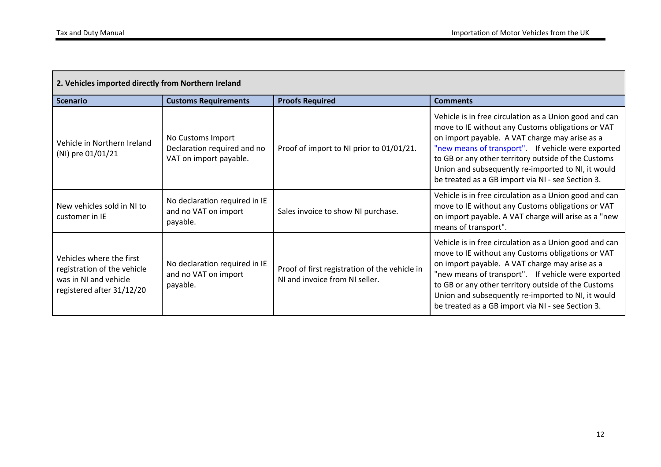| 2. Vehicles imported directly from Northern Ireland                                                           |                                                                            |                                                                                 |                                                                                                                                                                                                                                                                                                                                                                                       |
|---------------------------------------------------------------------------------------------------------------|----------------------------------------------------------------------------|---------------------------------------------------------------------------------|---------------------------------------------------------------------------------------------------------------------------------------------------------------------------------------------------------------------------------------------------------------------------------------------------------------------------------------------------------------------------------------|
| <b>Scenario</b>                                                                                               | <b>Customs Requirements</b>                                                | <b>Proofs Required</b>                                                          | <b>Comments</b>                                                                                                                                                                                                                                                                                                                                                                       |
| Vehicle in Northern Ireland<br>(NI) pre 01/01/21                                                              | No Customs Import<br>Declaration required and no<br>VAT on import payable. | Proof of import to NI prior to 01/01/21.                                        | Vehicle is in free circulation as a Union good and can<br>move to IE without any Customs obligations or VAT<br>on import payable. A VAT charge may arise as a<br>"new means of transport" If vehicle were exported<br>to GB or any other territory outside of the Customs<br>Union and subsequently re-imported to NI, it would<br>be treated as a GB import via NI - see Section 3.  |
| New vehicles sold in NI to<br>customer in IE                                                                  | No declaration required in IE<br>and no VAT on import<br>payable.          | Sales invoice to show NI purchase.                                              | Vehicle is in free circulation as a Union good and can<br>move to IE without any Customs obligations or VAT<br>on import payable. A VAT charge will arise as a "new<br>means of transport".                                                                                                                                                                                           |
| Vehicles where the first<br>registration of the vehicle<br>was in NI and vehicle<br>registered after 31/12/20 | No declaration required in IE<br>and no VAT on import<br>payable.          | Proof of first registration of the vehicle in<br>NI and invoice from NI seller. | Vehicle is in free circulation as a Union good and can<br>move to IE without any Customs obligations or VAT<br>on import payable. A VAT charge may arise as a<br>"new means of transport". If vehicle were exported<br>to GB or any other territory outside of the Customs<br>Union and subsequently re-imported to NI, it would<br>be treated as a GB import via NI - see Section 3. |

┑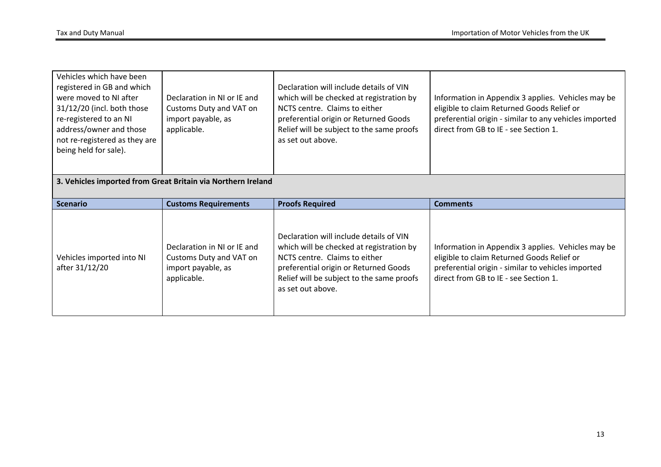| Vehicles which have been<br>registered in GB and which<br>were moved to NI after<br>31/12/20 (incl. both those<br>re-registered to an NI<br>address/owner and those<br>not re-registered as they are<br>being held for sale). | Declaration in NI or IE and<br>Customs Duty and VAT on<br>import payable, as<br>applicable. | Declaration will include details of VIN<br>which will be checked at registration by<br>NCTS centre. Claims to either<br>preferential origin or Returned Goods<br>Relief will be subject to the same proofs<br>as set out above. | Information in Appendix 3 applies. Vehicles may be<br>eligible to claim Returned Goods Relief or<br>preferential origin - similar to any vehicles imported<br>direct from GB to IE - see Section 1. |
|-------------------------------------------------------------------------------------------------------------------------------------------------------------------------------------------------------------------------------|---------------------------------------------------------------------------------------------|---------------------------------------------------------------------------------------------------------------------------------------------------------------------------------------------------------------------------------|-----------------------------------------------------------------------------------------------------------------------------------------------------------------------------------------------------|
|                                                                                                                                                                                                                               | 3. Vehicles imported from Great Britain via Northern Ireland                                |                                                                                                                                                                                                                                 |                                                                                                                                                                                                     |
| <b>Scenario</b>                                                                                                                                                                                                               | <b>Customs Requirements</b>                                                                 | <b>Proofs Required</b>                                                                                                                                                                                                          | <b>Comments</b>                                                                                                                                                                                     |
| Vehicles imported into NI<br>after 31/12/20                                                                                                                                                                                   | Declaration in NI or IE and<br>Customs Duty and VAT on                                      | Declaration will include details of VIN<br>which will be checked at registration by<br>NCTS centre. Claims to either                                                                                                            | Information in Appendix 3 applies. Vehicles may be<br>eligible to claim Returned Goods Relief or                                                                                                    |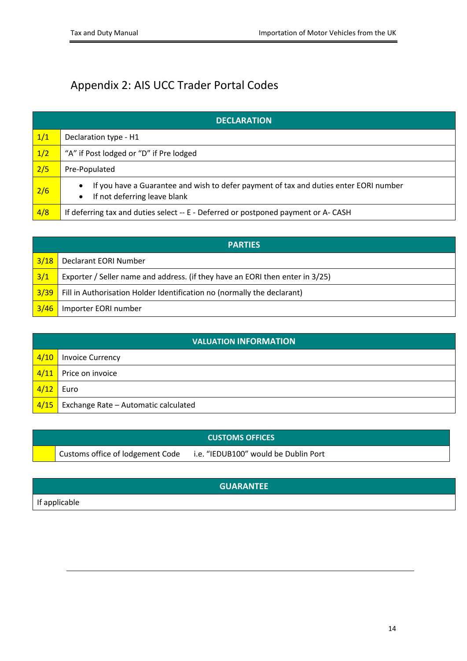# <span id="page-13-0"></span>Appendix 2: AIS UCC Trader Portal Codes

|     | <b>DECLARATION</b>                                                                                                                              |  |  |
|-----|-------------------------------------------------------------------------------------------------------------------------------------------------|--|--|
| 1/1 | Declaration type - H1                                                                                                                           |  |  |
| 1/2 | "A" if Post lodged or "D" if Pre lodged                                                                                                         |  |  |
| 2/5 | Pre-Populated                                                                                                                                   |  |  |
| 2/6 | If you have a Guarantee and wish to defer payment of tax and duties enter EORI number<br>$\bullet$<br>If not deferring leave blank<br>$\bullet$ |  |  |
| 4/8 | If deferring tax and duties select -- E - Deferred or postponed payment or A-CASH                                                               |  |  |

|      | <b>PARTIES</b>                                                                |  |  |
|------|-------------------------------------------------------------------------------|--|--|
| 3/18 | <b>Declarant EORI Number</b>                                                  |  |  |
| 3/1  | Exporter / Seller name and address. (if they have an EORI then enter in 3/25) |  |  |
| 3/39 | Fill in Authorisation Holder Identification no (normally the declarant)       |  |  |
| 3/46 | Importer EORI number                                                          |  |  |

|               | <b>VALUATION INFORMATION</b>         |  |  |
|---------------|--------------------------------------|--|--|
| $\sqrt{4/10}$ | <b>Invoice Currency</b>              |  |  |
| $\sqrt{4/11}$ | Price on invoice                     |  |  |
| 4/12          | Euro                                 |  |  |
| $\sqrt{4/15}$ | Exchange Rate - Automatic calculated |  |  |

|                                  | <b>CUSTOMS OFFICES</b>               |
|----------------------------------|--------------------------------------|
| Customs office of lodgement Code | i.e. "IEDUB100" would be Dublin Port |

### **GUARANTEE**

If applicable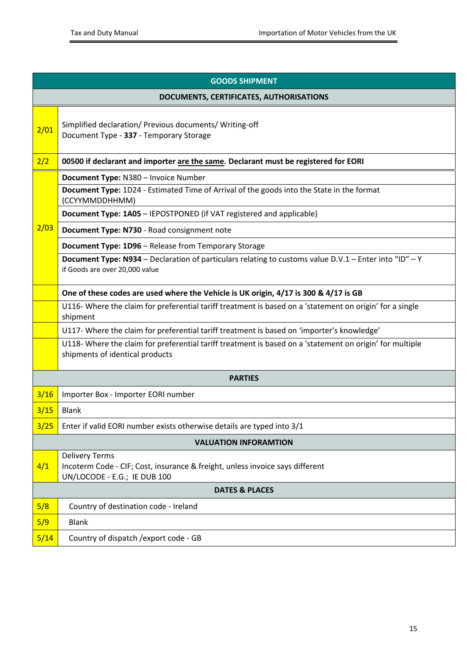| <b>GOODS SHIPMENT</b> |                                                                                                                                             |  |  |
|-----------------------|---------------------------------------------------------------------------------------------------------------------------------------------|--|--|
|                       | DOCUMENTS, CERTIFICATES, AUTHORISATIONS                                                                                                     |  |  |
| 2/01                  | Simplified declaration/ Previous documents/ Writing-off<br>Document Type - 337 - Temporary Storage                                          |  |  |
| 2/2                   | 00500 if declarant and importer are the same. Declarant must be registered for EORI                                                         |  |  |
|                       | Document Type: N380 - Invoice Number                                                                                                        |  |  |
|                       | <b>Document Type:</b> 1D24 - Estimated Time of Arrival of the goods into the State in the format<br>(CCYYMMDDHHMM)                          |  |  |
|                       | <b>Document Type: 1A05 - IEPOSTPONED (if VAT registered and applicable)</b>                                                                 |  |  |
| 2/03                  | Document Type: N730 - Road consignment note                                                                                                 |  |  |
|                       | Document Type: 1D96 - Release from Temporary Storage                                                                                        |  |  |
|                       | Document Type: N934 - Declaration of particulars relating to customs value D.V.1 - Enter into "ID" - Y<br>if Goods are over 20,000 value    |  |  |
|                       | One of these codes are used where the Vehicle is UK origin, 4/17 is 300 & 4/17 is GB                                                        |  |  |
|                       | U116- Where the claim for preferential tariff treatment is based on a 'statement on origin' for a single<br>shipment                        |  |  |
|                       | U117- Where the claim for preferential tariff treatment is based on 'importer's knowledge'                                                  |  |  |
|                       | U118- Where the claim for preferential tariff treatment is based on a 'statement on origin' for multiple<br>shipments of identical products |  |  |
|                       | <b>PARTIES</b>                                                                                                                              |  |  |
| 3/16                  | Importer Box - Importer EORI number                                                                                                         |  |  |
| 3/15                  | <b>Blank</b>                                                                                                                                |  |  |
| 3/25                  | Enter if valid EORI number exists otherwise details are typed into 3/1                                                                      |  |  |
|                       | <b>VALUATION INFORAMTION</b>                                                                                                                |  |  |
| 4/1                   | <b>Delivery Terms</b><br>Incoterm Code - CIF; Cost, insurance & freight, unless invoice says different<br>UN/LOCODE - E.G.; IE DUB 100      |  |  |
|                       | <b>DATES &amp; PLACES</b>                                                                                                                   |  |  |
| 5/8                   | Country of destination code - Ireland                                                                                                       |  |  |
| 5/9                   | <b>Blank</b>                                                                                                                                |  |  |
| 5/14                  | Country of dispatch / export code - GB                                                                                                      |  |  |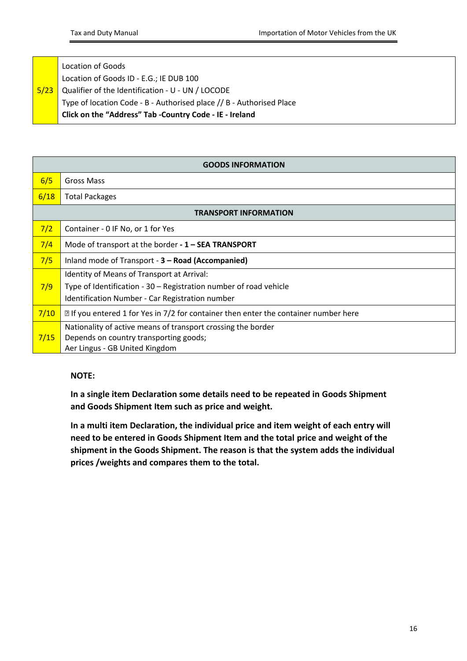#### 5/23 Location of Goods Location of Goods ID - E.G.; IE DUB 100 Qualifier of the Identification - U - UN / LOCODE Type of location Code - B - Authorised place // B - Authorised Place **Click on the "Address" Tab -Country Code - IE - Ireland**

|                              | <b>GOODS INFORMATION</b>                                                                                                                                           |  |  |
|------------------------------|--------------------------------------------------------------------------------------------------------------------------------------------------------------------|--|--|
| 6/5                          | Gross Mass                                                                                                                                                         |  |  |
| 6/18                         | <b>Total Packages</b>                                                                                                                                              |  |  |
| <b>TRANSPORT INFORMATION</b> |                                                                                                                                                                    |  |  |
| 7/2                          | Container - 0 IF No, or 1 for Yes                                                                                                                                  |  |  |
| 7/4                          | Mode of transport at the border - 1 - SEA TRANSPORT                                                                                                                |  |  |
| 7/5                          | Inland mode of Transport - 3 – Road (Accompanied)                                                                                                                  |  |  |
| 7/9                          | Identity of Means of Transport at Arrival:<br>Type of Identification - 30 - Registration number of road vehicle<br>Identification Number - Car Registration number |  |  |
| 7/10                         | ⊠ If you entered 1 for Yes in 7/2 for container then enter the container number here                                                                               |  |  |
| 7/15                         | Nationality of active means of transport crossing the border<br>Depends on country transporting goods;<br>Aer Lingus - GB United Kingdom                           |  |  |

### **NOTE:**

**In a single item Declaration some details need to be repeated in Goods Shipment and Goods Shipment Item such as price and weight.**

**In a multi item Declaration, the individual price and item weight of each entry will need to be entered in Goods Shipment Item and the total price and weight of the shipment in the Goods Shipment. The reason is that the system adds the individual prices /weights and compares them to the total.**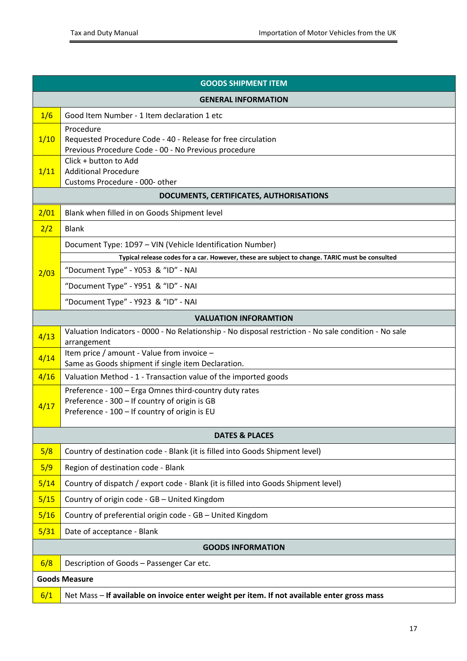| <b>GOODS SHIPMENT ITEM</b>              |                                                                                                                                                          |  |
|-----------------------------------------|----------------------------------------------------------------------------------------------------------------------------------------------------------|--|
| <b>GENERAL INFORMATION</b>              |                                                                                                                                                          |  |
| 1/6                                     | Good Item Number - 1 Item declaration 1 etc                                                                                                              |  |
| 1/10                                    | Procedure<br>Requested Procedure Code - 40 - Release for free circulation<br>Previous Procedure Code - 00 - No Previous procedure                        |  |
| 1/11                                    | Click + button to Add<br><b>Additional Procedure</b><br>Customs Procedure - 000- other                                                                   |  |
| DOCUMENTS, CERTIFICATES, AUTHORISATIONS |                                                                                                                                                          |  |
| 2/01                                    | Blank when filled in on Goods Shipment level                                                                                                             |  |
| 2/2                                     | <b>Blank</b>                                                                                                                                             |  |
|                                         | Document Type: 1D97 - VIN (Vehicle Identification Number)                                                                                                |  |
|                                         | Typical release codes for a car. However, these are subject to change. TARIC must be consulted                                                           |  |
| 2/03                                    | "Document Type" - Y053 & "ID" - NAI                                                                                                                      |  |
|                                         | "Document Type" - Y951 & "ID" - NAI                                                                                                                      |  |
|                                         | "Document Type" - Y923 & "ID" - NAI                                                                                                                      |  |
| <b>VALUATION INFORAMTION</b>            |                                                                                                                                                          |  |
| 4/13                                    | Valuation Indicators - 0000 - No Relationship - No disposal restriction - No sale condition - No sale<br>arrangement                                     |  |
| 4/14                                    | Item price / amount - Value from invoice -<br>Same as Goods shipment if single item Declaration.                                                         |  |
| 4/16                                    | Valuation Method - 1 - Transaction value of the imported goods                                                                                           |  |
| 4/17                                    | Preference - 100 - Erga Omnes third-country duty rates<br>Preference - 300 - If country of origin is GB<br>Preference - 100 - If country of origin is EU |  |
|                                         | <b>DATES &amp; PLACES</b>                                                                                                                                |  |
| 5/8                                     | Country of destination code - Blank (it is filled into Goods Shipment level)                                                                             |  |
| 5/9                                     | Region of destination code - Blank                                                                                                                       |  |
| 5/14                                    | Country of dispatch / export code - Blank (it is filled into Goods Shipment level)                                                                       |  |
| 5/15                                    | Country of origin code - GB - United Kingdom                                                                                                             |  |
| 5/16                                    | Country of preferential origin code - GB - United Kingdom                                                                                                |  |
| 5/31                                    | Date of acceptance - Blank                                                                                                                               |  |
| <b>GOODS INFORMATION</b>                |                                                                                                                                                          |  |
| 6/8                                     | Description of Goods - Passenger Car etc.                                                                                                                |  |
| <b>Goods Measure</b>                    |                                                                                                                                                          |  |
| 6/1                                     | Net Mass - If available on invoice enter weight per item. If not available enter gross mass                                                              |  |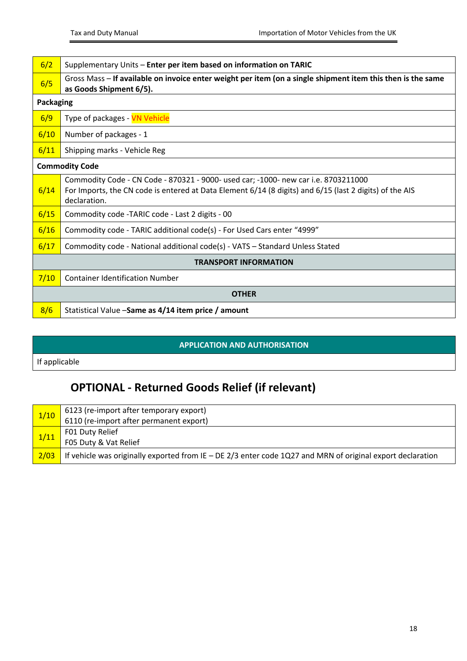| 6/2                          | Supplementary Units - Enter per item based on information on TARIC                                                                                                                                            |  |
|------------------------------|---------------------------------------------------------------------------------------------------------------------------------------------------------------------------------------------------------------|--|
| 6/5                          | Gross Mass - If available on invoice enter weight per item (on a single shipment item this then is the same<br>as Goods Shipment 6/5).                                                                        |  |
| <b>Packaging</b>             |                                                                                                                                                                                                               |  |
| 6/9                          | Type of packages - VN Vehicle                                                                                                                                                                                 |  |
| 6/10                         | Number of packages - 1                                                                                                                                                                                        |  |
| 6/11                         | Shipping marks - Vehicle Reg                                                                                                                                                                                  |  |
| <b>Commodity Code</b>        |                                                                                                                                                                                                               |  |
| 6/14                         | Commodity Code - CN Code - 870321 - 9000- used car; -1000- new car i.e. 8703211000<br>For Imports, the CN code is entered at Data Element 6/14 (8 digits) and 6/15 (last 2 digits) of the AIS<br>declaration. |  |
| 6/15                         | Commodity code - TARIC code - Last 2 digits - 00                                                                                                                                                              |  |
| 6/16                         | Commodity code - TARIC additional code(s) - For Used Cars enter "4999"                                                                                                                                        |  |
| 6/17                         | Commodity code - National additional code(s) - VATS - Standard Unless Stated                                                                                                                                  |  |
| <b>TRANSPORT INFORMATION</b> |                                                                                                                                                                                                               |  |
| 7/10                         | <b>Container Identification Number</b>                                                                                                                                                                        |  |
| <b>OTHER</b>                 |                                                                                                                                                                                                               |  |
| 8/6                          | Statistical Value - Same as 4/14 item price / amount                                                                                                                                                          |  |

### **APPLICATION AND AUTHORISATION**

If applicable

## **OPTIONAL - Returned Goods Relief (if relevant)**

| 1/10 | $_4$ 6123 (re-import after temporary export)                                                                 |
|------|--------------------------------------------------------------------------------------------------------------|
|      | 6110 (re-import after permanent export)                                                                      |
| 1/11 | F01 Duty Relief                                                                                              |
|      | F05 Duty & Vat Relief                                                                                        |
| 2/03 | If vehicle was originally exported from IE $-$ DE 2/3 enter code 1Q27 and MRN of original export declaration |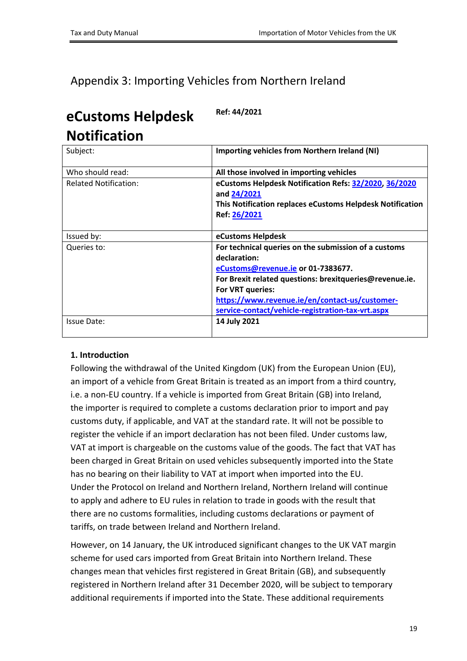## <span id="page-18-0"></span>Appendix 3: Importing Vehicles from Northern Ireland

# **eCustoms Helpdesk Notification**

Subject: **Importing vehicles from Northern Ireland (NI)** Who should read: **All those involved in importing vehicles** Related Notification: **eCustoms Helpdesk Notification Refs: [32/2020,](https://www.revenue.ie/en/customs-traders-and-agents/customs-electronic-systems/aep/ecustoms-notifications/2020/aep-notification-032-2020.pdf) [36/2020](https://www.revenue.ie/en/customs-traders-and-agents/customs-electronic-systems/aep/ecustoms-notifications/2020/aep-notification-036-2020.pdf) and [24/2021](https://www.revenue.ie/en/customs-traders-and-agents/customs-electronic-systems/aep/ecustoms-notifications/2021/ecustoms-notification-24-2021.pdf) This Notification replaces eCustoms Helpdesk Notification Ref: [26/2021](https://www.revenue.ie/en/customs-traders-and-agents/customs-electronic-systems/aep/ecustoms-notifications/2021/ecustoms-notification-26-2021.pdf)** Issued by: **eCustoms Helpdesk** Queries to: **For technical queries on the submission of a customs declaration: [eCustoms@revenue.ie](mailto:eCustoms@revenue.ie) or 01-7383677. For Brexit related questions: brexitqueries@revenue.ie. For VRT queries: [https://www.revenue.ie/en/contact-us/customer](https://www.revenue.ie/en/contact-us/customer-service-contact/vehicle-registration-tax-vrt.aspx)[service-contact/vehicle-registration-tax-vrt.aspx](https://www.revenue.ie/en/contact-us/customer-service-contact/vehicle-registration-tax-vrt.aspx)** Issue Date: **14 July 2021**

**Ref: 44/2021**

### **1. Introduction**

Following the withdrawal of the United Kingdom (UK) from the European Union (EU), an import of a vehicle from Great Britain is treated as an import from a third country, i.e. a non-EU country. If a vehicle is imported from Great Britain (GB) into Ireland, the importer is required to complete a customs declaration prior to import and pay customs duty, if applicable, and VAT at the standard rate. It will not be possible to register the vehicle if an import declaration has not been filed. Under customs law, VAT at import is chargeable on the customs value of the goods. The fact that VAT has been charged in Great Britain on used vehicles subsequently imported into the State has no bearing on their liability to VAT at import when imported into the EU. Under the Protocol on Ireland and Northern Ireland, Northern Ireland will continue to apply and adhere to EU rules in relation to trade in goods with the result that there are no customs formalities, including customs declarations or payment of tariffs, on trade between Ireland and Northern Ireland.

However, on 14 January, the UK introduced significant changes to the UK VAT margin scheme for used cars imported from Great Britain into Northern Ireland. These changes mean that vehicles first registered in Great Britain (GB), and subsequently registered in Northern Ireland after 31 December 2020, will be subject to temporary additional requirements if imported into the State. These additional requirements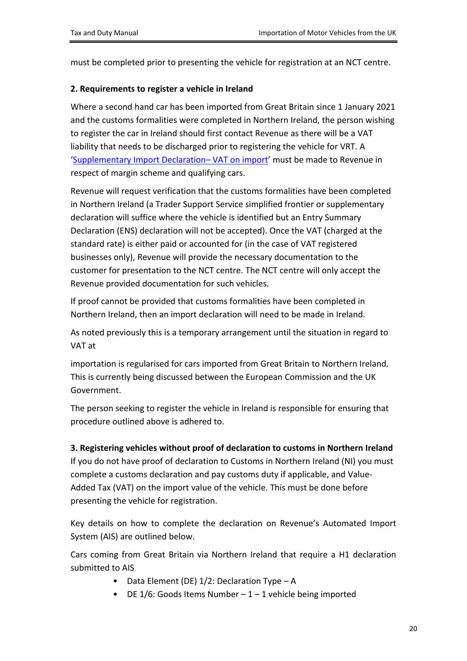must be completed prior to presenting the vehicle for registration at an NCT centre.

### **2. Requirements to register a vehicle in Ireland**

Where a second hand car has been imported from Great Britain since 1 January 2021 and the customs formalities were completed in Northern Ireland, the person wishing to register the car in Ireland should first contact Revenue as there will be a VAT liability that needs to be discharged prior to registering the vehicle for VRT. A '[Supplementary](https://www.revenue.ie/en/importing-vehicles-duty-free-allowances/documents/vrt/supplementary-import-declaration.pdf) [Import](https://www.revenue.ie/en/importing-vehicles-duty-free-allowances/documents/vrt/supplementary-import-declaration.pdf) [Declaration–](https://www.revenue.ie/en/importing-vehicles-duty-free-allowances/documents/vrt/supplementary-import-declaration.pdf) [VAT](https://www.revenue.ie/en/importing-vehicles-duty-free-allowances/documents/vrt/supplementary-import-declaration.pdf) [on](https://www.revenue.ie/en/importing-vehicles-duty-free-allowances/documents/vrt/supplementary-import-declaration.pdf) [import'](https://www.revenue.ie/en/importing-vehicles-duty-free-allowances/documents/vrt/supplementary-import-declaration.pdf) must be made to Revenue in respect of margin scheme and qualifying cars.

Revenue will request verification that the customs formalities have been completed in Northern Ireland (a Trader Support Service simplified frontier or supplementary declaration will suffice where the vehicle is identified but an Entry Summary Declaration (ENS) declaration will not be accepted). Once the VAT (charged at the standard rate) is either paid or accounted for (in the case of VAT registered businesses only), Revenue will provide the necessary documentation to the customer for presentation to the NCT centre. The NCT centre will only accept the Revenue provided documentation for such vehicles.

If proof cannot be provided that customs formalities have been completed in Northern Ireland, then an import declaration will need to be made in Ireland.

As noted previously this is a temporary arrangement until the situation in regard to VAT at

importation is regularised for cars imported from Great Britain to Northern Ireland. This is currently being discussed between the European Commission and the UK Government.

The person seeking to register the vehicle in Ireland is responsible for ensuring that procedure outlined above is adhered to.

### **3. Registering vehicles without proof of declaration to customs in Northern Ireland**

If you do not have proof of declaration to Customs in Northern Ireland (NI) you must complete a customs declaration and pay customs duty if applicable, and Value-Added Tax (VAT) on the import value of the vehicle. This must be done before presenting the vehicle for registration.

Key details on how to complete the declaration on Revenue's Automated Import System (AIS) are outlined below.

Cars coming from Great Britain via Northern Ireland that require a H1 declaration submitted to AIS

- Data Element (DE) 1/2: Declaration Type A
- DE  $1/6$ : Goods Items Number  $1 1$  vehicle being imported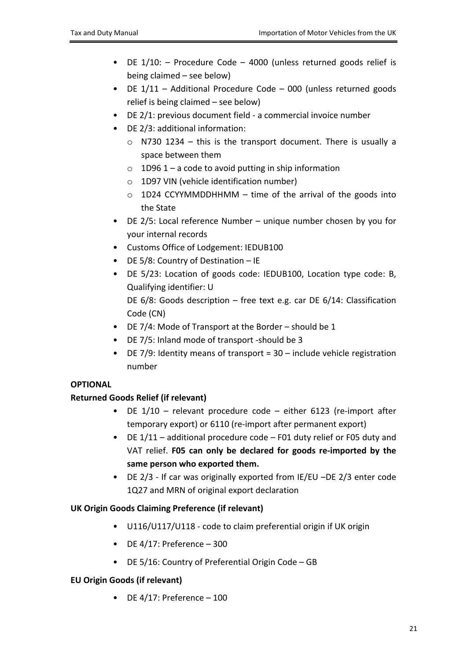- DE 1/10: Procedure Code 4000 (unless returned goods relief is being claimed – see below)
- DE 1/11 Additional Procedure Code 000 (unless returned goods relief is being claimed – see below)
- DE 2/1: previous document field a commercial invoice number
- DE 2/3: additional information:
	- o N730 1234 this is the transport document. There is usually a space between them
	- $\circ$  1D96 1 a code to avoid putting in ship information
	- o 1D97 VIN (vehicle identification number)
	- $\circ$  1D24 CCYYMMDDHHMM time of the arrival of the goods into the State
- DE 2/5: Local reference Number unique number chosen by you for your internal records
- Customs Office of Lodgement: IEDUB100
- DE 5/8: Country of Destination IE
- DE 5/23: Location of goods code: IEDUB100, Location type code: B, Qualifying identifier: U

DE 6/8: Goods description – free text e.g. car DE 6/14: Classification Code (CN)

- DE 7/4: Mode of Transport at the Border should be 1
- DE 7/5: Inland mode of transport -should be 3
- DE 7/9: Identity means of transport =  $30 -$  include vehicle registration number

### **OPTIONAL**

### **Returned Goods Relief (if relevant)**

- DE 1/10 relevant procedure code either 6123 (re-import after temporary export) or 6110 (re-import after permanent export)
- DE 1/11 additional procedure code F01 duty relief or F05 duty and VAT relief. **F05 can only be declared for goods re-imported by the same person who exported them.**
- DE 2/3 If car was originally exported from IE/EU –DE 2/3 enter code 1Q27 and MRN of original export declaration

### **UK Origin Goods Claiming Preference (if relevant)**

- U116/U117/U118 code to claim preferential origin if UK origin
- $\bullet$  DE 4/17: Preference 300
- DE 5/16: Country of Preferential Origin Code GB

### **EU Origin Goods (if relevant)**

• DE  $4/17$ : Preference – 100